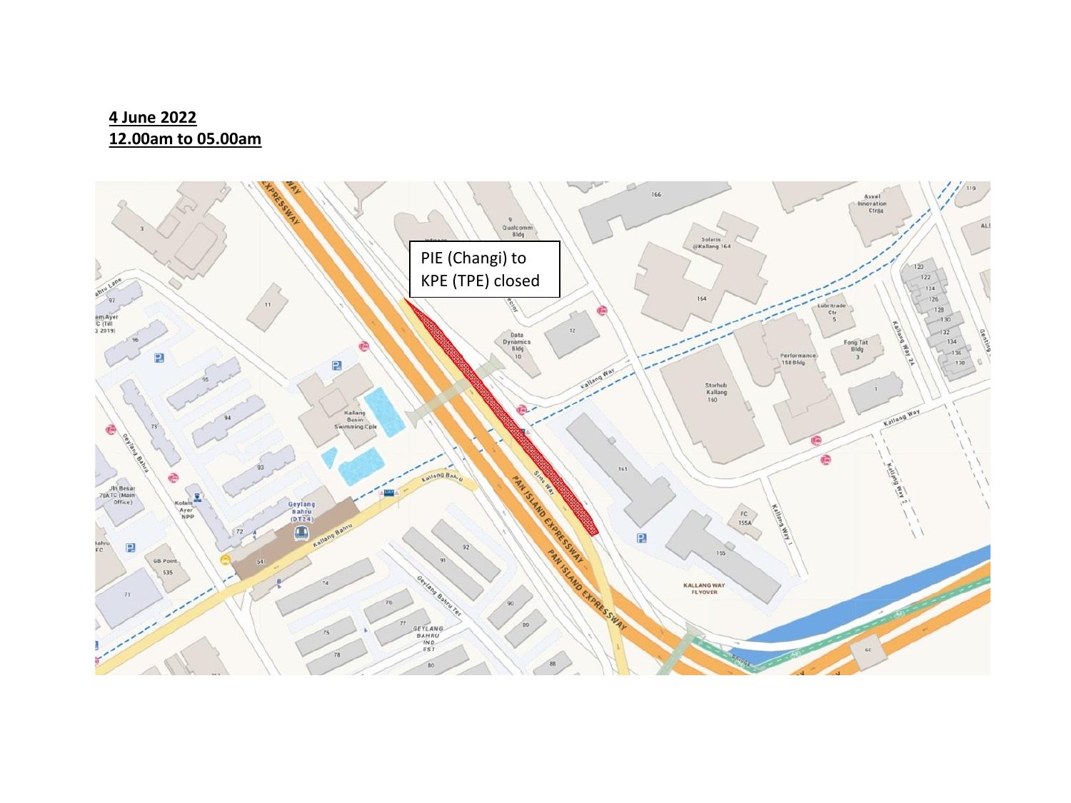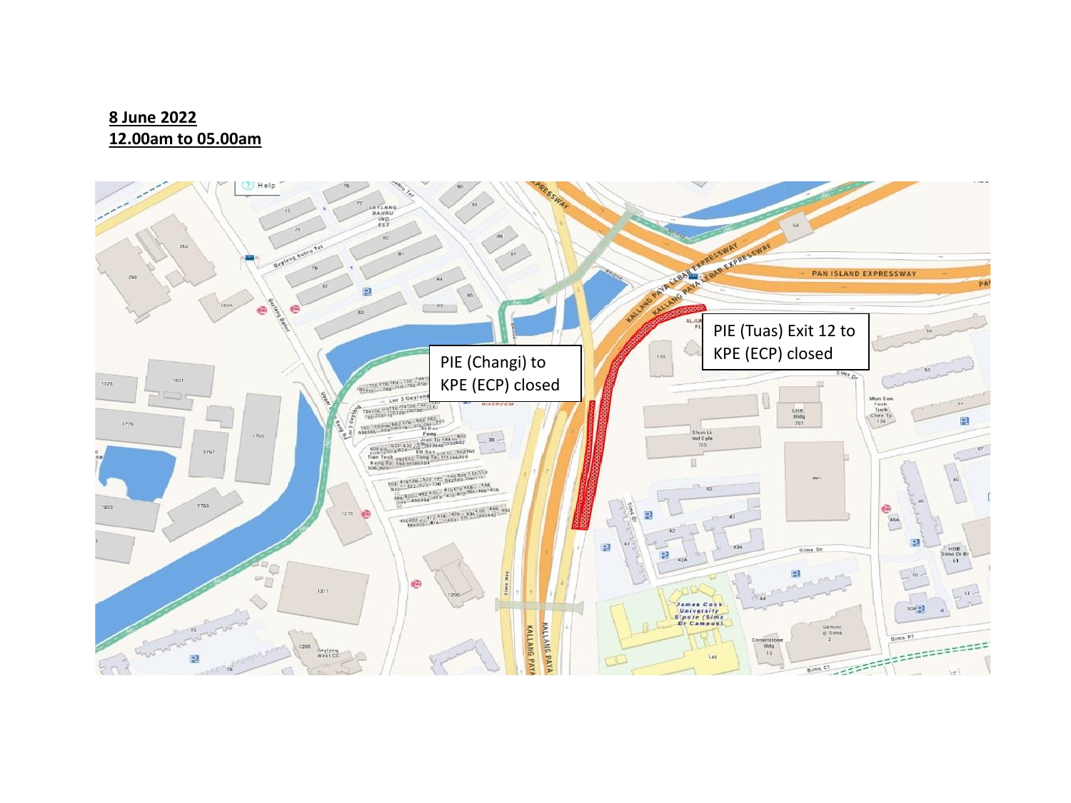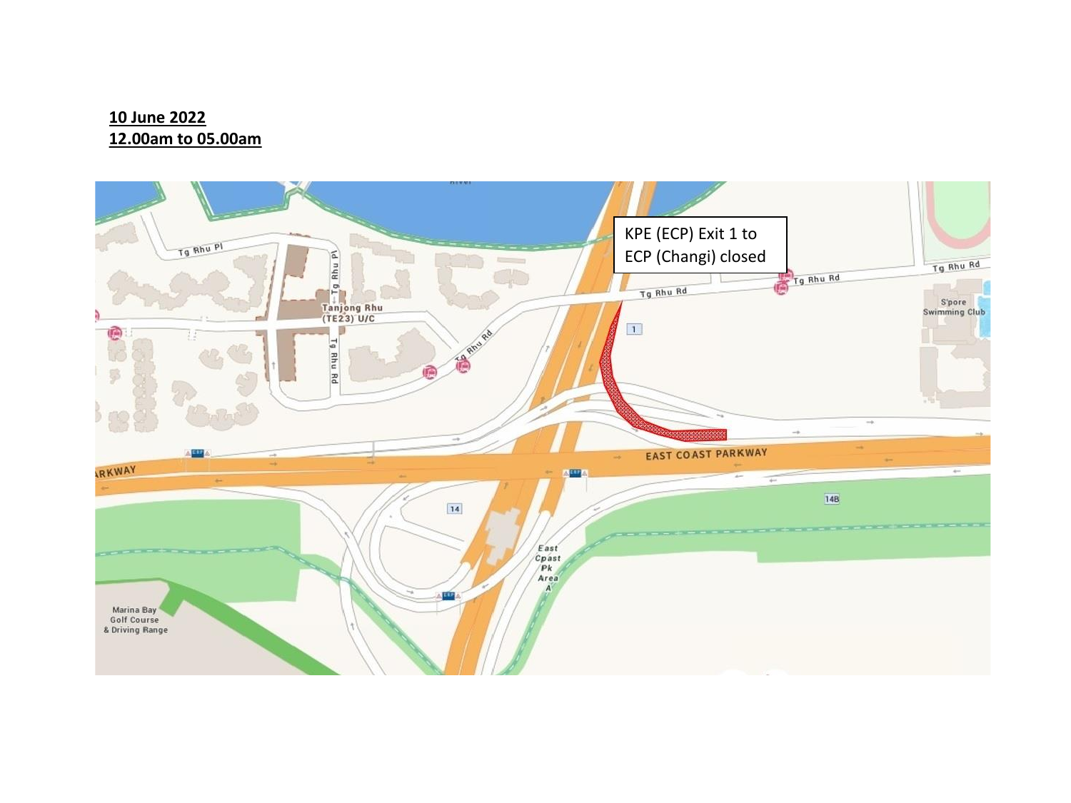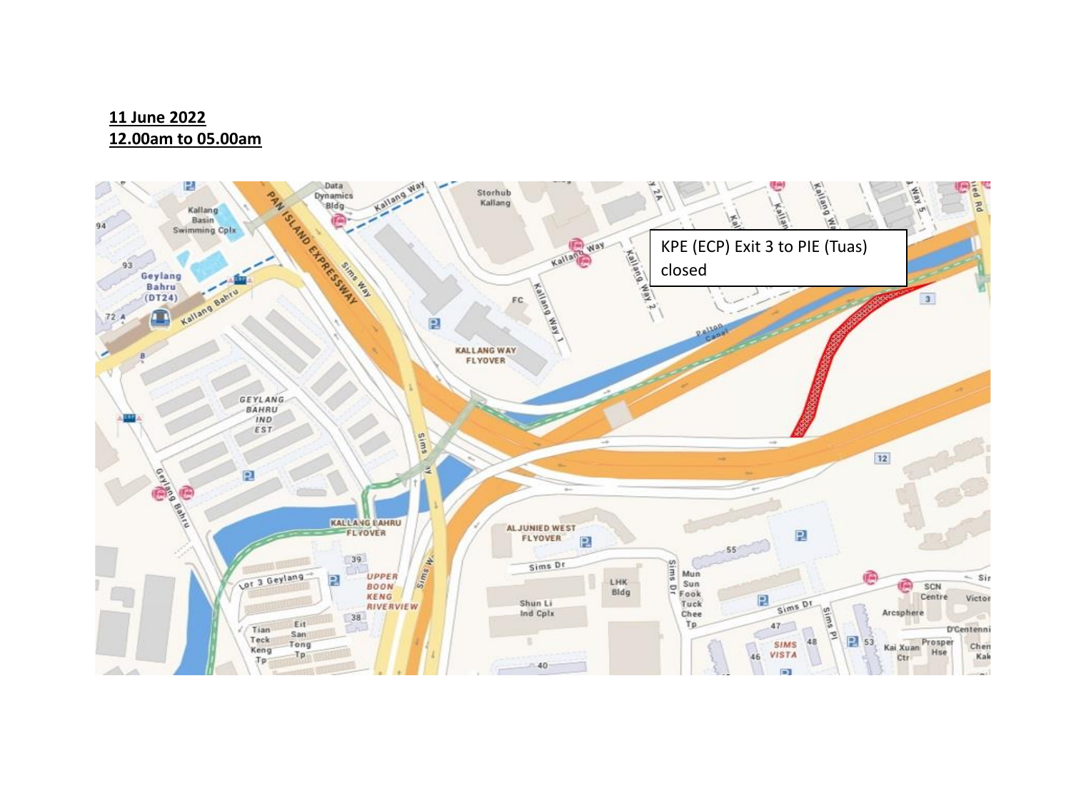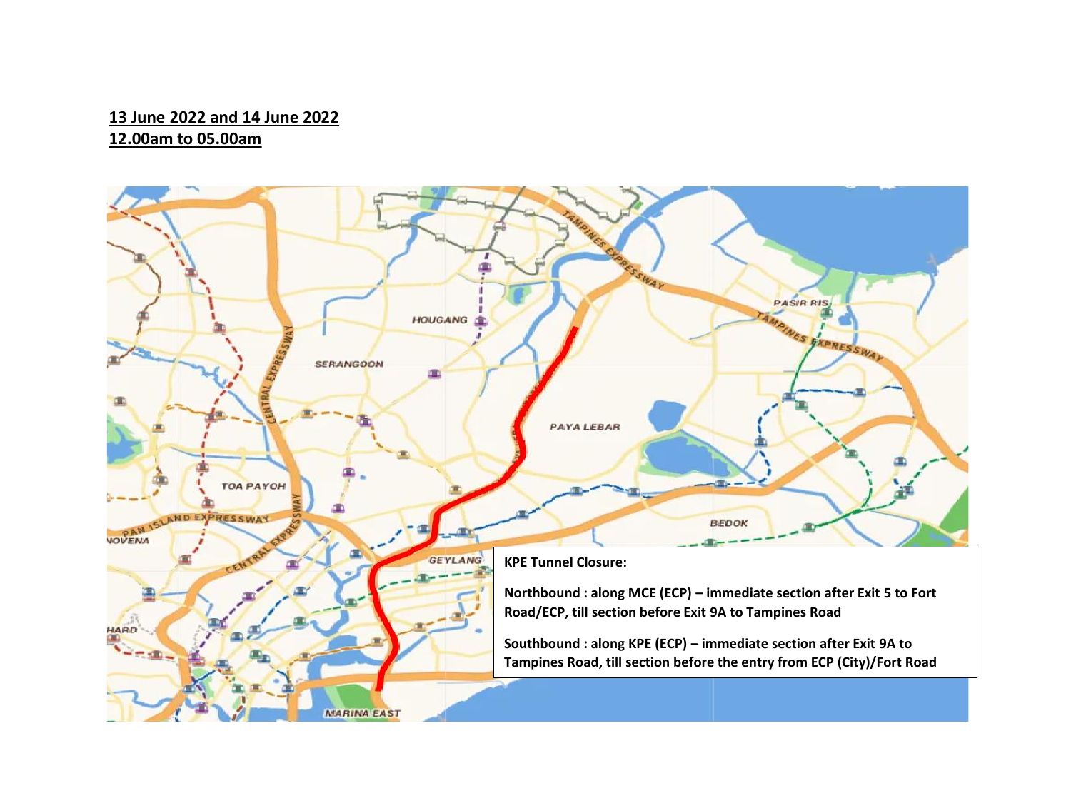#### **13 June 2022 and 14 June 2022 12.00am to 05.00am**

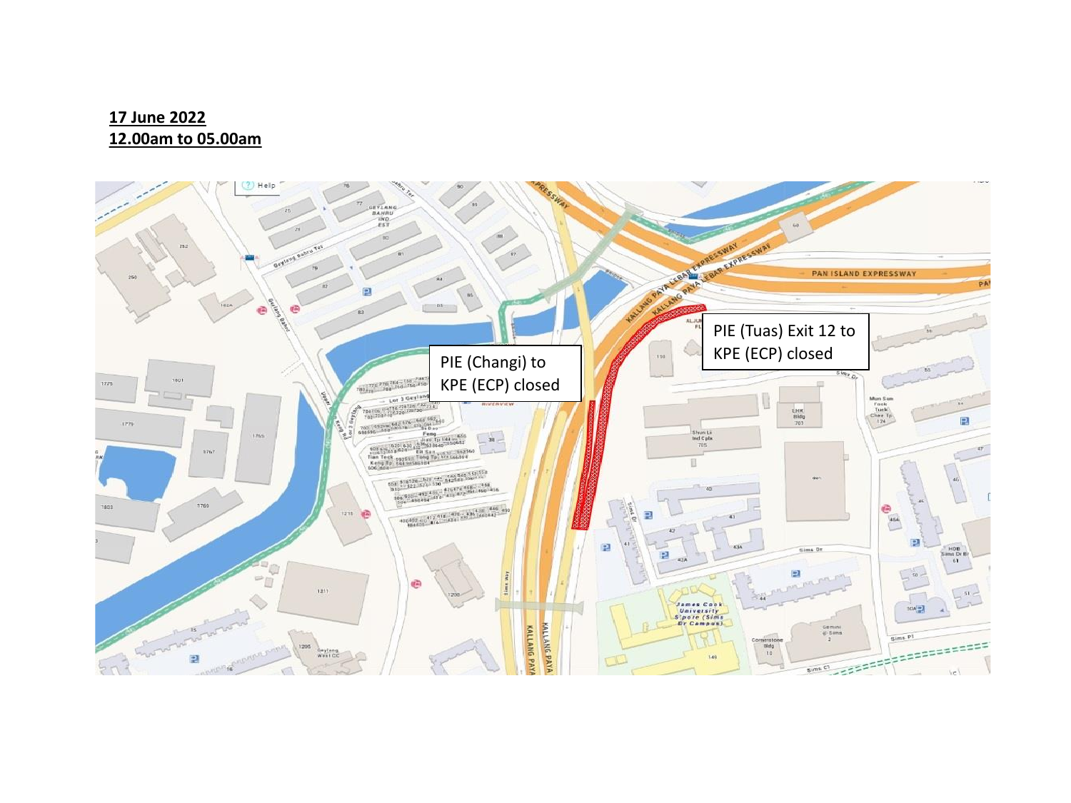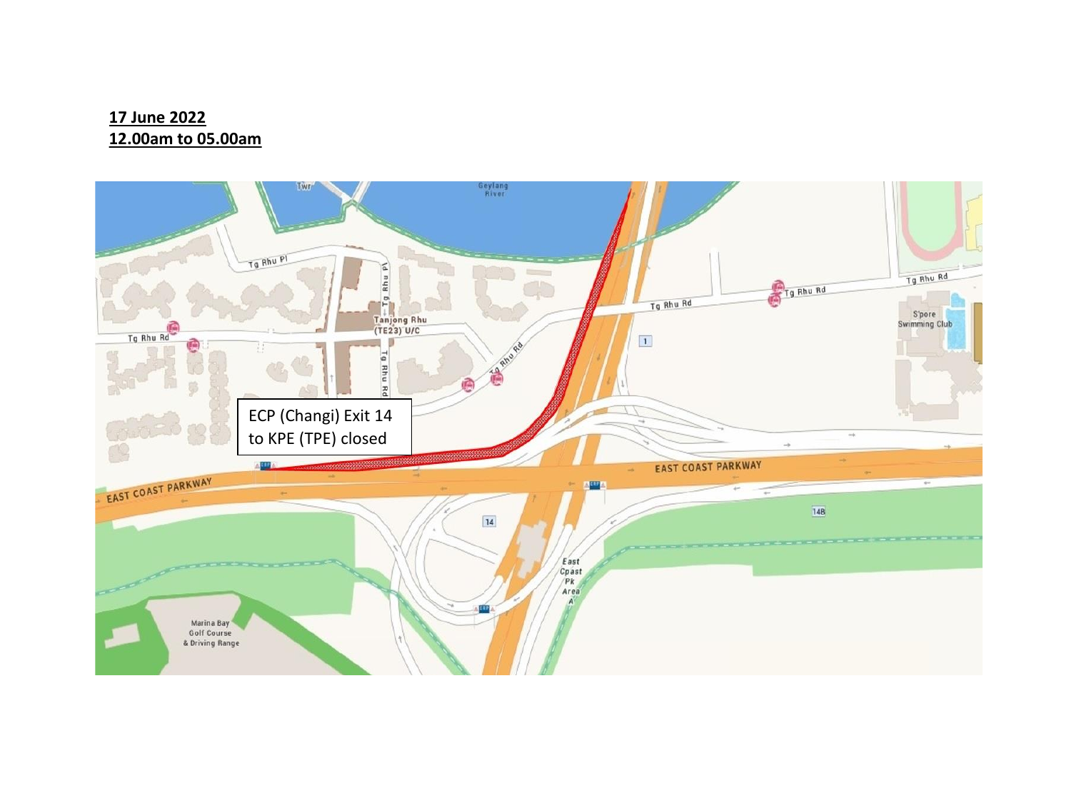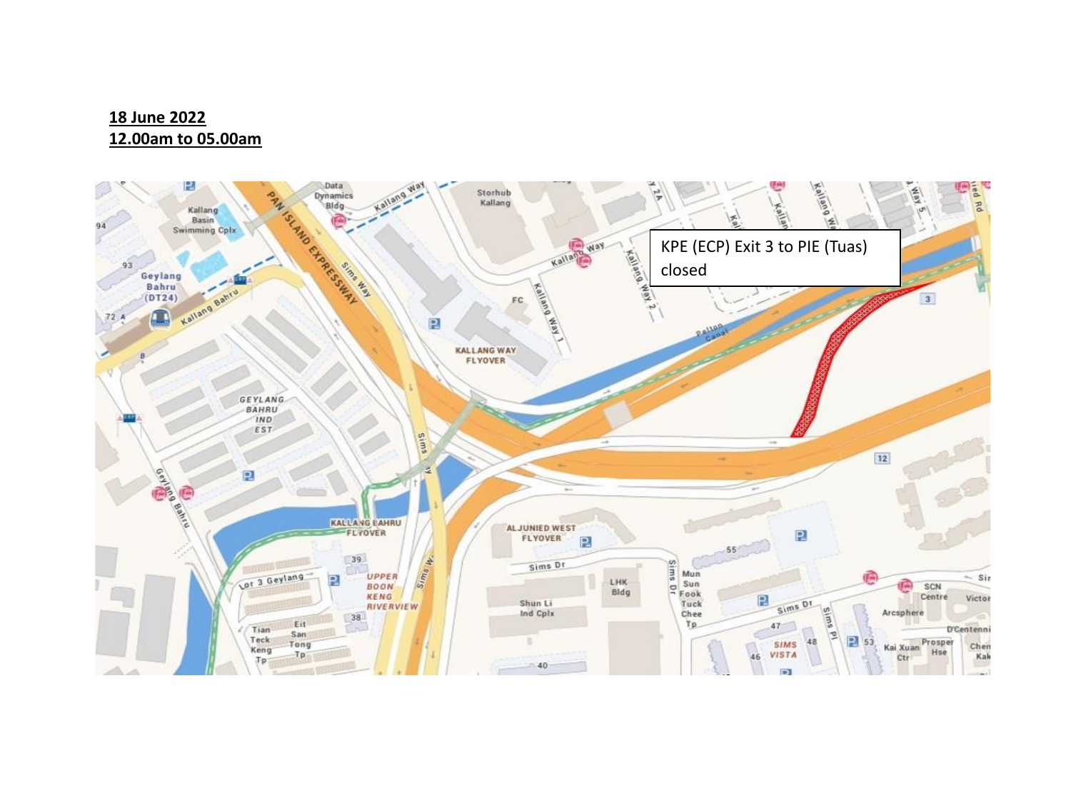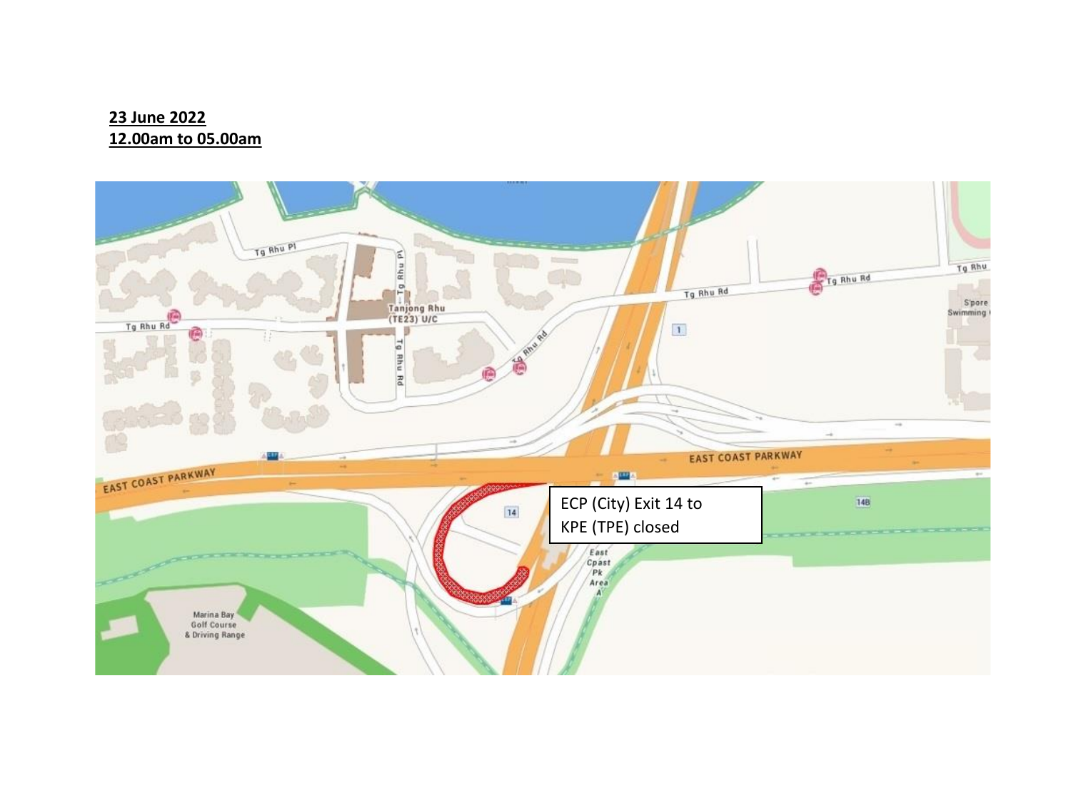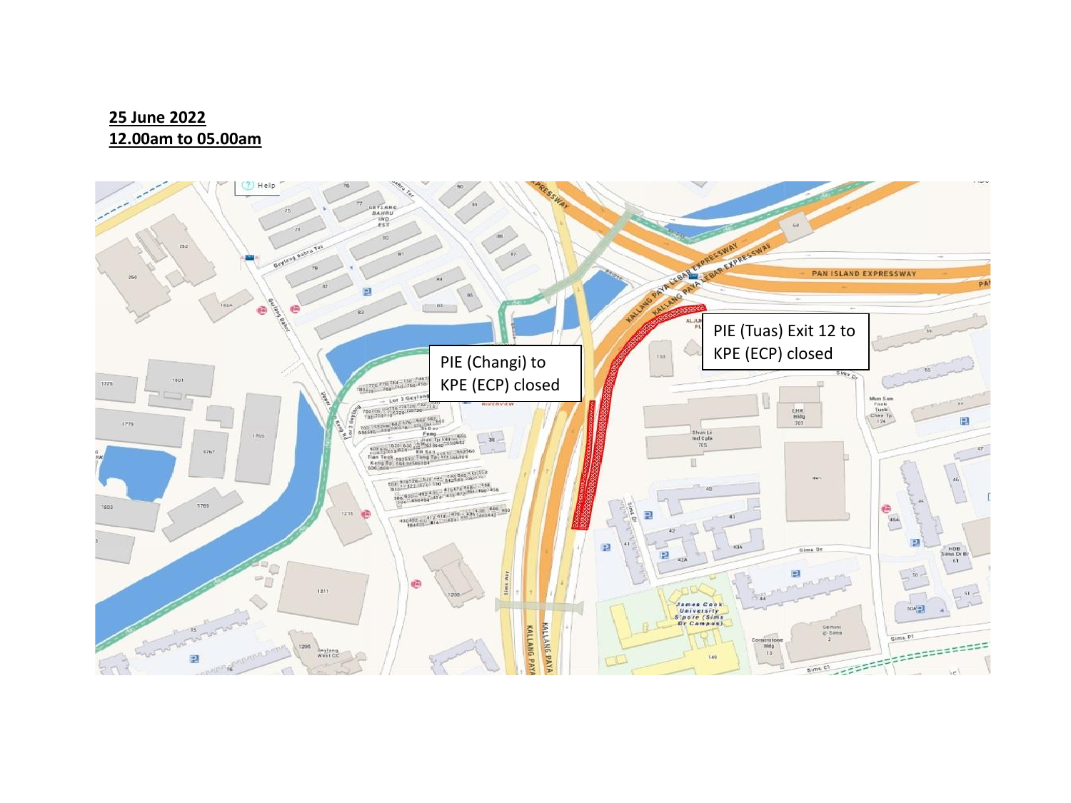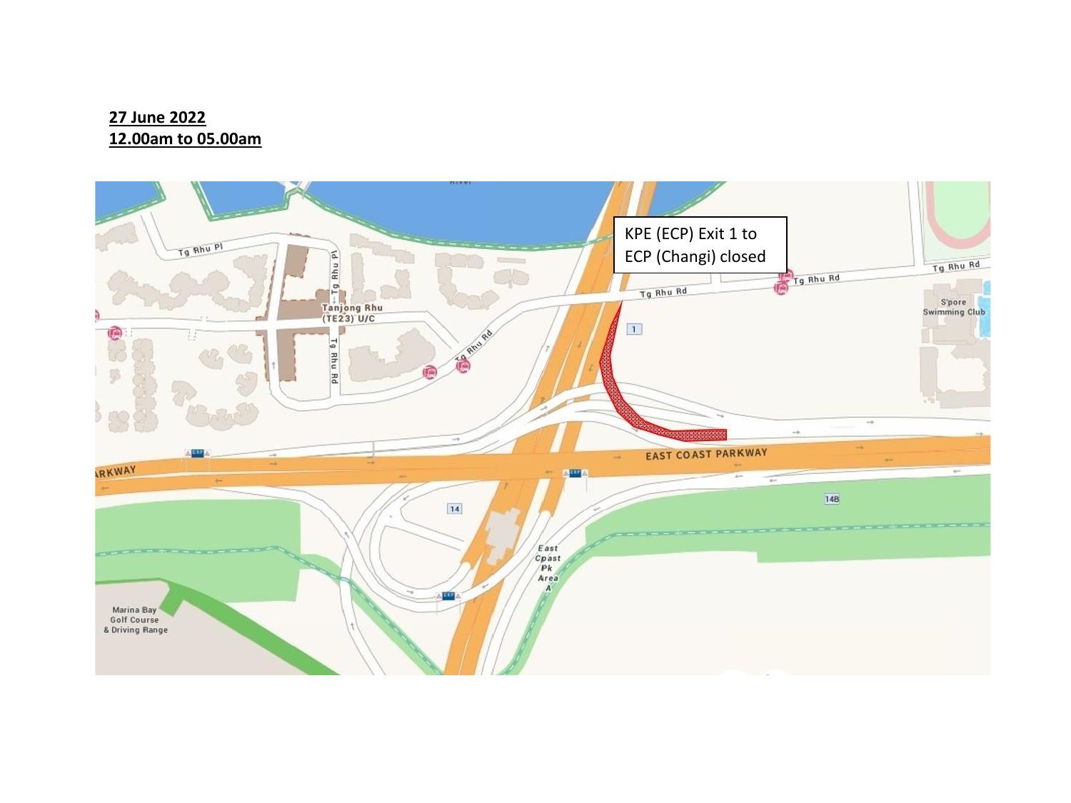